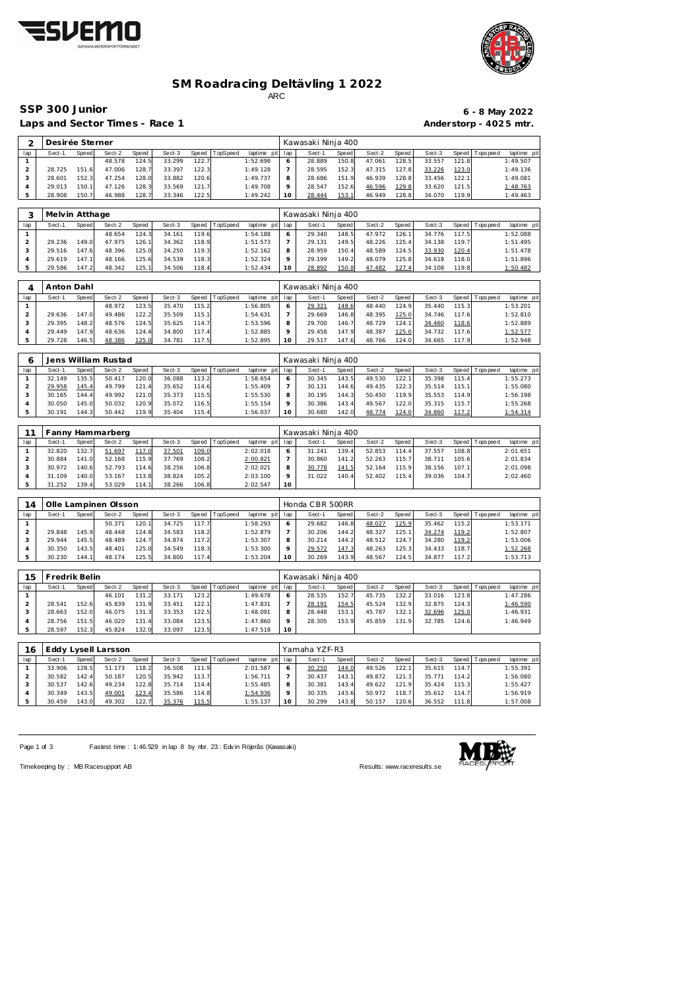



### **SM Roadracing Deltävling 1 2022** ARC

Laps and Sector Times - Race 1 **Anderstorp - 4025 mtr.** 

# **SSP 300 Junior 6 - 8 May 2022**

| $\bigcap$ | Desirée Sterner |       |        |       |        |       |          |             |     | Kawasaki Ninja 400 |              |        |       |        |         |           |             |
|-----------|-----------------|-------|--------|-------|--------|-------|----------|-------------|-----|--------------------|--------------|--------|-------|--------|---------|-----------|-------------|
| lap       | Sect-1          | Speed | Sect-2 | Speed | Sect-3 | Speed | TopSpeed | laptime pit | lap | Sect-1             | Speed        | Sect-2 | Speed | Sect-3 | Speed I | Tops peed | laptime pit |
|           |                 |       | 48.578 | 124.5 | 33.299 | 122.7 |          | 1:52.698    |     | 28.889             | 150.8        | 47.061 | 128.5 | 33.557 | 121.8   |           | 1:49.507    |
|           | 28.725          | 151.6 | 47.006 | 128.7 | 33.397 | 122.3 |          | 1:49.128    |     | 28.595             | 152.3        | 47.315 | 127.8 | 33.226 | 123.0   |           | 1:49.136    |
|           | 28.601          | 152.3 | 47.254 | 128.0 | 33.882 | 120.6 |          | 1:49.737    |     | 28.686             | 151.9        | 46.939 | 128.8 | 33.456 | 122.1   |           | 1:49.081    |
|           | 29.013          | 150.1 | 47.126 | 128.3 | 33.569 | 121.7 |          | 1:49.708    |     | 28.547             | 152.6        | 46.596 | 129.8 | 33.620 | 121.5   |           | 1:48.763    |
|           | 28.908          | 150.7 | 46.988 | 128.7 | 33.346 | 122.5 |          | 1:49.242    | 10  | 28.444             | <u>153.1</u> | 46.949 | 128.8 | 34.070 | 119.9   |           | 1:49.463    |

|     | Melvin Atthage |       |        |       |        |       |          |                 |         | Kawasaki Ninja 400 |       |        |       |        |       |                   |             |
|-----|----------------|-------|--------|-------|--------|-------|----------|-----------------|---------|--------------------|-------|--------|-------|--------|-------|-------------------|-------------|
| lap | Sect-1         | Speed | Sect-2 | Speed | Sect-3 | Speed | TopSpeed | laptime pit lap |         | Sect-1             | Speed | Sect-2 | Speed | Sect-3 |       | Speed   Tops peed | laptime pit |
|     |                |       | 48.654 | 124.3 | 34.161 | 119.6 |          | 1:54.188        | 6       | 29.340             | 148.5 | 47.972 | 126.1 | 34.776 | 117.5 |                   | 1:52.088    |
|     | 29.236         | 149.0 | 47.975 | 126.1 | 34.362 | 118.9 |          | 1:51.573        |         | 29.131             | 149.5 | 48.226 | 125.4 | 34.138 | 119.7 |                   | 1:51.495    |
|     | 29.516         | 147.6 | 48.396 | 125.0 | 34.250 | 119.3 |          | 1:52.162        | 8       | 28.959             | 150.4 | 48.589 | 124.5 | 33.930 | 120.4 |                   | 1:51.478    |
|     | 29.619         | 147.1 | 48.166 | 125.6 | 34.539 | 118.3 |          | 1:52.324        | $\circ$ | 29.199             | 149.2 | 48.079 | 125.8 | 34.618 | 118.0 |                   | 1:51.896    |
|     | 29.586         | 147.2 | 48.342 | 125.1 | 34.506 | 118.4 |          | 1:52.434        | 10      | 28.892             | 150.8 | 47.482 | 127.4 | 34.108 | 119.8 |                   | 1:50.482    |

|     | Anton Dahl |       |        |       |        |        |          |                 |         | Kawasaki Ninja 400 |       |        |       |        |       |                 |             |
|-----|------------|-------|--------|-------|--------|--------|----------|-----------------|---------|--------------------|-------|--------|-------|--------|-------|-----------------|-------------|
| lap | Sect-1     | Speed | Sect-2 | Speed | Sect-3 | Speed  | TopSpeed | laptime pit lap |         | Sect-1             | Speed | Sect-2 | Speed | Sect-3 |       | Speed Tops peed | laptime pit |
|     |            |       | 48.972 | 123.5 | 35.470 | 115.21 |          | 1:56.805        | O       | 29.321             | 148.6 | 48.440 | 124.9 | 35.440 | 115.3 |                 | 1:53.201    |
|     | 29.636     | 147.0 | 49.486 | 122.2 | 35.509 | 115.1  |          | 1:54.631        |         | 29.669             | 146.8 | 48.395 | 125.0 | 34.746 | 117.6 |                 | 1:52.810    |
|     | 29.395     | 148.2 | 48.576 | 124.5 | 35.625 | 114.7  |          | 1:53.596        | 8       | 29.700             | 146.7 | 48.729 | 124.1 | 34.460 | 118.6 |                 | 1:52.889    |
|     | 29.449     | 147.9 | 48.636 | 124.4 | 34.800 | 117.4  |          | 1:52.885        | $\circ$ | 29.458             | 147.9 | 48.387 | 125.0 | 34.732 | 117.6 |                 | 1:52.577    |
|     | 29.728     | 146.5 | 48.386 | 125.0 | 34.781 | 117.5  |          | 1:52.895        | 10      | 29.517             | 147.6 | 48.766 | 124.0 | 34.665 | 117.9 |                 | 1:52.948    |

|     |        |       | Jens William Rustad |       |        |       |                |                 |         | Kawasaki Ninja 400 |       |        |       |        |        |                 |             |
|-----|--------|-------|---------------------|-------|--------|-------|----------------|-----------------|---------|--------------------|-------|--------|-------|--------|--------|-----------------|-------------|
| lap | Sect-1 | Speed | Sect-2              | Speed | Sect-3 |       | Speed TopSpeed | laptime pit lap |         | Sect-1             | Speed | Sect-2 | Speed | Sect-3 |        | Speed Tops peed | laptime pit |
|     | 32.149 | 135.5 | 50.417              | 120.0 | 36.088 | 113.2 |                | 1:58.654        | $\circ$ | 30.345             | 143.5 | 49.530 | 122.1 | 35.398 | 115.4  |                 | 1:55.273    |
|     | 29.958 | 145.4 | 49.799              | 121.4 | 35.652 | 114.6 |                | 1:55.409        |         | 30.131             | 144.6 | 49.435 | 122.3 | 35.514 | 115.11 |                 | 1:55.080    |
|     | 30.165 | 144.4 | 49.992              | 121.0 | 35.373 | 115.5 |                | 1:55.530        | 8       | 30.195             | 144.3 | 50.450 | 119.9 | 35.553 | 114.9  |                 | 1:56.198    |
|     | 30.050 | 145.0 | 50.032              | 120.9 | 35.072 | 116.5 |                | 1:55.154        | $\circ$ | 30.386             | 143.4 | 49.567 | 122.0 | 35.315 | 115.7  |                 | 1:55.268    |
|     | 30.191 | 144.3 | 50.442              | 119.9 | 35.404 | 115.4 |                | 1:56.037        | 10      | 30.680             | 142.0 | 48.774 | 124.0 | 34.860 | 117.2  |                 | 1:54.314    |

|     | anny   |       | : Hammarberg |       |        |       |          |             |                 | Kawasaki Ninja 400 |                      |        |       |        |       |           |             |
|-----|--------|-------|--------------|-------|--------|-------|----------|-------------|-----------------|--------------------|----------------------|--------|-------|--------|-------|-----------|-------------|
| lap | Sect-1 | Speed | Sect-2       | Speed | Sect-3 | Speed | TopSpeed | laptime pit | lap             | Sect-1             | Speed                | Sect-2 | Speed | Sect-3 | Speed | Tops peed | laptime pit |
|     | 32.820 | 132.7 | 51.697       | 117.0 | 37.501 | 109.0 |          | 2:02.018    |                 | 31.241             | 139.4                | 52.853 | 114.4 | 37.557 | 108.8 |           | 2:01.651    |
|     | 30.884 | 141.0 | 52.168       | 115.9 | 37.769 | 108.2 |          | 2:00.821    |                 | 30.860             | 141<br>$\mathcal{D}$ | 52.263 | 115.7 | 38.711 | 105.6 |           | 2:01.834    |
|     | 30.972 | 140.6 | 52.793       | 114.6 | 38.256 | 106.8 |          | 2:02.021    | 8               | 30.778             | 141.5                | 52.164 | 115.9 | 38.156 | 107.1 |           | 2:01.098    |
|     | 31.109 | 140.0 | 53.167       | 113.8 | 38.824 | 105.2 |          | 2:03.100    |                 | 31.022             | 140.4                | 52.402 | 115.4 | 39.036 | 104.7 |           | 2:02.460    |
|     | 31.252 | 139.4 | 53.029       | 114.1 | 38.266 | 106.8 |          | 2:02.547    | 10 <sup>°</sup> |                    |                      |        |       |        |       |           |             |

| 14  |        |       | Olle Lampinen Olsson |       |        |         |                 |                 |    | Honda CBR 500RR |       |        |        |        |       |                 |             |
|-----|--------|-------|----------------------|-------|--------|---------|-----------------|-----------------|----|-----------------|-------|--------|--------|--------|-------|-----------------|-------------|
| lap | Sect-1 | Speed | Sect-2               | Speed | Sect-3 | Speed T | <b>TopSpeed</b> | laptime pit lap |    | Sect-1          | Speed | Sect-2 | Speed  | Sect-3 |       | Speed Tops peed | laptime pit |
|     |        |       | 50.371               | 120.1 | 34.725 | 117.7   |                 | 1:58.293        |    | 29.682          | 146.8 | 48.027 | 125.9  | 35.462 | 115.2 |                 | 1:53.171    |
|     | 29.848 | 145.9 | 48.448               | 124.8 | 34.583 | 118.2   |                 | 1:52.879        |    | 30.206          | 144.2 | 48.327 | 125.1  | 34.274 | 119.2 |                 | 1:52.807    |
|     | 29.944 | 145.5 | 48.489               | 124.7 | 34.874 | 117.2   |                 | 1:53.307        |    | 30.214          | 144.2 | 48.512 | 124.7  | 34.280 | 119.2 |                 | 1:53.006    |
|     | 30.350 | 143.5 | 48.401               | 125.0 | 34.549 | 118.3   |                 | 1:53.300        |    | 29.572          | 147.3 | 48.263 | 125.31 | 34.433 | 118.7 |                 | 1:52.268    |
|     | 30.230 | 144.1 | 48.174               | 125.5 | 34.800 | 117.4   |                 | 1:53.204        | 10 | 30.269          | 143.9 | 48.567 | 124.5  | 34.877 | 117.2 |                 | 1:53.713    |

| 15  | Fredrik Belin |       |        |       |        |       |          |                 |              | Kawasaki Ninja 400 |       |        |       |        |       |                 |             |
|-----|---------------|-------|--------|-------|--------|-------|----------|-----------------|--------------|--------------------|-------|--------|-------|--------|-------|-----------------|-------------|
| lap | Sect-1        | Speed | Sect-2 | Speed | Sect-3 | Speed | TopSpeed | laptime pit lap |              | Sect-1             | Speed | Sect-2 | Speed | Sect-3 |       | Speed Tops peed | laptime pit |
|     |               |       | 46.101 | 131.2 | 33.171 | 123.2 |          | 1:49.678        | <sub>o</sub> | 28.535             | 152.7 | 45.735 | 132.2 | 33.016 | 123.8 |                 | 1:47.286    |
|     | 28.541        | 152.6 | 45.839 | 131.9 | 33.451 | 122.1 |          | 1:47.831        |              | 28.191             | 154.5 | 45.524 | 132.9 | 32.875 | 124.3 |                 | 1:46.590    |
|     | 28.663        | 152.0 | 46.075 | 131.3 | 33.353 | 122.5 |          | 1:48.091        | 8            | 28.448             | 153.1 | 45.787 | 132.1 | 32.696 | 125.0 |                 | 1:46.931    |
|     | 28.756        | 151.5 | 46.020 | 131.4 | 33.084 | 123.5 |          | 1:47.860        | $\circ$      | 28.305             | 153.9 | 45.859 | 131.9 | 32.785 | 124.6 |                 | 1:46.949    |
|     | 28.597        | 152.3 | 45.824 | 132.0 | 33.097 | 123.5 |          | 1:47.518        | 10           |                    |       |        |       |        |       |                 |             |

| 16  |        |       | Eddy Lysell Larsson |       |        |       |          |             |              | Yamaha YZF-R3 |       |        |           |        |       |                 |             |
|-----|--------|-------|---------------------|-------|--------|-------|----------|-------------|--------------|---------------|-------|--------|-----------|--------|-------|-----------------|-------------|
| lap | Sect-1 | Speed | Sect-2              | Speed | Sect-3 | Speed | TopSpeed | laptime pit | lap          | Sect-1        | Speed | Sect-2 | Speed     | Sect-3 |       | Speed Tops peed | laptime pit |
|     | 33.906 | 128.5 | 51.173              | 118.2 | 36.508 | 111.9 |          | 2:01.587    | <sup>6</sup> | 30.250        | 144.0 | 49.526 | 122.      | 35.615 | 114.7 |                 | 1:55.391    |
|     | 30.582 | 142.4 | 50.187              | 120.5 | 35.942 | 113.7 |          | 1:56.711    |              | 30.437        | 143.1 | 49.872 | 121.<br>3 | 35.771 | 114.2 |                 | 1:56.080    |
|     | 30.537 | 142.6 | 49.234              | 122.8 | 35.714 | 114.4 |          | 1:55.485    | 8            | 30.381        | 143.4 | 49.622 | 121.9     | 35.424 | 115.3 |                 | 1:55.427    |
|     | 30.349 | 143.5 | 49.001              | 123.4 | 35.586 | 114.8 |          | 1:54.936    | $\circ$      | 30.335        | 143.6 | 50.972 | 118.7     | 35.612 | 114.7 |                 | 1:56.919    |
|     | 30.459 | 143.0 | 49.302              | 122.7 | 35.376 | 115.5 |          | 1:55.137    | 10           | 30.299        | 143.8 | 50.157 | 120.6     | 36.552 | 111.8 |                 | 1:57.008    |

Page 1 of 3 Fastest time : 1:46.529 in lap 8 by nbr. 23 : Edv in Röjerås (Kawasaki)



Timekeeping by : MB Racesupport AB Results:<www.raceresults.se>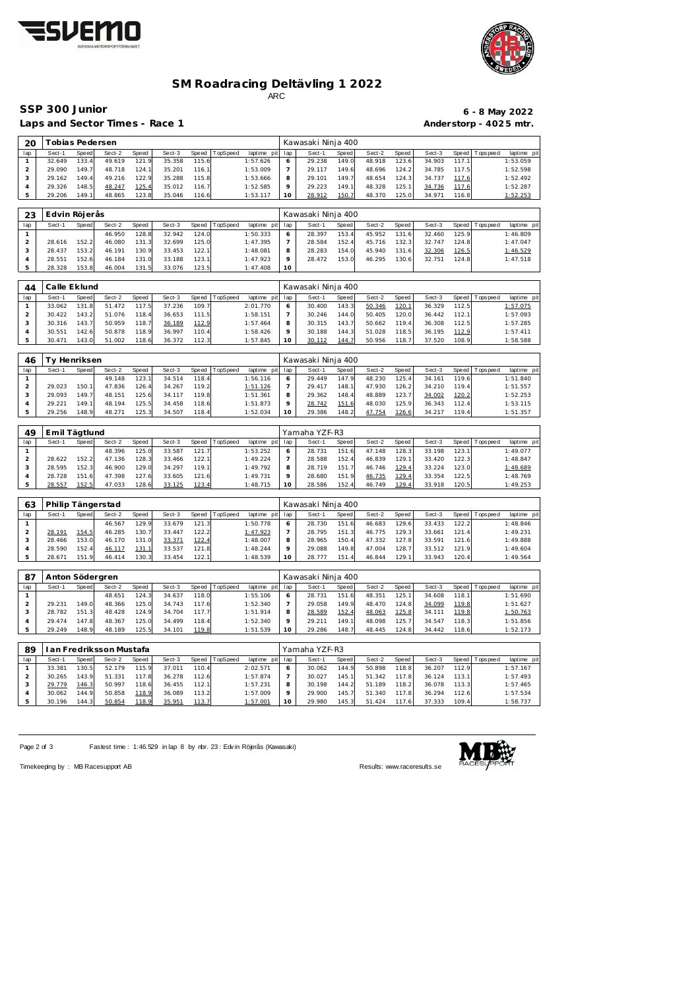



### **SM Roadracing Deltävling 1 2022** ARC

Laps and Sector Times - Race 1 **Anderstorp - 4025 mtr.** 

# **SSP 300 Junior 6 - 8 May 2022**

| 20             |               | Tobias Pedersen |          |                      |        |                      |          |                 |         | Kawasaki Ninja 400 |         |        |                      |               |       |                 |                                              |
|----------------|---------------|-----------------|----------|----------------------|--------|----------------------|----------|-----------------|---------|--------------------|---------|--------|----------------------|---------------|-------|-----------------|----------------------------------------------|
| lap            | Sect-1        | Speed           | Sect-2   | Speed                | Sect-3 | Speed                | TopSpeed | laptime pit lap |         | Sect-1             | Speed   | Sect-2 | Speed                | Sect-3        |       | Speed Tops peed | laptime pit                                  |
|                | 32.649        | 133.4           | 49.619   | 121.9                | 35.358 | 115.6                |          | 1:57.626        | 6       | 29.238             | 149.0   | 48.918 | 123.6                | 34.903        | 117.1 |                 | 1:53.059                                     |
| $\overline{2}$ | 29.090        | 149.7           | 48.718   | 124.1                | 35.201 | 116.1                |          | 1:53.009        |         | 29.117             | 149.6   | 48.696 | 124.2                | 34.785        | 117.5 |                 | 1:52.598                                     |
| 3              | 29.162        | 149.4           | 49.216   | 122.9                | 35.288 | 115.8                |          | 1:53.666        | 8       | 29.101             | 149.7   | 48.654 | 124.3                | 34.737        | 117.6 |                 | 1:52.492                                     |
| 4              | 29.326        | 148.5           | 48.247   | 125.4                | 35.012 | 116.7                |          | 1:52.585        | $\circ$ | 29.223             | 149.1   | 48.328 | 125.1                | 34.736        | 117.6 |                 | 1:52.287                                     |
| 5              | 29.206        | 149.1           | 48.865   | 123.8                | 35.046 | 116.6                |          | 1:53.117        | 10      | 28.912             | 150.7   | 48.370 | 125.0                | 34.971        | 116.8 |                 | 1:52.253                                     |
|                |               |                 |          |                      |        |                      |          |                 |         |                    |         |        |                      |               |       |                 |                                              |
| 23             | Edvin Röjerås |                 |          |                      |        |                      |          |                 |         | Kawasaki Ninja 400 |         |        |                      |               |       |                 |                                              |
| lap            | Sect-1        | Speed           | Sect-2   | Speed                | Sect-3 | Speed                | TopSpeed | laptime pit lap |         | Sect-1             | Speed   | Sect-2 | Speed                | Sect-3        | Speed | Tops peed       | laptime pit                                  |
|                |               |                 | $\cdots$ | $\sim$ $\sim$ $\sim$ | 00000  | $\sim$ $\sim$ $\sim$ |          | $-0.000$        |         | 00000              | $- - -$ | $  -$  | $\sim$ $\sim$ $\sim$ | $\sim$ $\sim$ | $-2$  |                 | $\overline{a}$ $\overline{a}$ $\overline{a}$ |

|        |       | 46.950 | 128.8 | 32.942 | 124.0  | 1:50.333 |    | 28.397 | 153.4 | 45.952      | 131.6 | 32.460 | 125.9 | 1:46.809        |
|--------|-------|--------|-------|--------|--------|----------|----|--------|-------|-------------|-------|--------|-------|-----------------|
| 28.616 | 152.2 | 46.080 | 131.3 | 32.699 | 125.0  | 1:47.395 |    | 28.584 | 152.4 | 716<br>45.7 | 132.3 | 32.747 | 124.8 | 1:47.047        |
| 28.437 | 153.2 | 46.191 | 130.9 | 33.453 | 122.1  | 1:48.081 |    | 28.283 | 154.0 | 45.940      | 131.6 | 32.306 | 126.5 | <u>1:46.529</u> |
| 28.551 | 152.6 | 46.184 | 131.0 | 33.188 | 123.1  | 1:47.923 |    | 28.472 | 153.0 | 46.295      | 130.6 | 32.751 | 124.8 | 1:47.518        |
| 28.328 | 153.8 | 46.004 | 131.5 | 33.076 | 123.51 | 1:47.408 | 10 |        |       |             |       |        |       |                 |
|        |       |        |       |        |        |          |    |        |       |             |       |        |       |                 |

| 44  | Calle Eklund |       |        |       |        |       |          |                 |    | Kawasaki Ninja 400 |       |        |       |        |       |                 |             |
|-----|--------------|-------|--------|-------|--------|-------|----------|-----------------|----|--------------------|-------|--------|-------|--------|-------|-----------------|-------------|
| lap | Sect-1       | Speed | Sect-2 | Speed | Sect-3 | Speed | TopSpeed | laptime pit lap |    | Sect-1             | Speed | Sect-2 | Speed | Sect-3 |       | Speed Tops peed | laptime pit |
|     | 33.062       | 131.8 | 51.472 | 117.5 | 37.236 | 109.7 |          | 2:01.770        |    | 30.400             | 143.3 | 50.346 | 120.1 | 36.329 | 112.5 |                 | 1:57.075    |
|     | 30.422       | 143.2 | 51.076 | 118.4 | 36.653 | 111.5 |          | 1:58.151        |    | 30.246             | 144.0 | 50.405 | 120.0 | 36.442 | 112.1 |                 | 1:57.093    |
|     | 30.316       | 143.7 | 50.959 | 118.7 | 36.189 | 112.9 |          | 1:57.464        | 8  | 30.315             | 143.7 | 50.662 | 119.4 | 36.308 | 112.5 |                 | 1:57.285    |
|     | 30.551       | 142.6 | 50.878 | 118.9 | 36.997 | 110.4 |          | 1:58.426        |    | 30.188             | 144.3 | 51.028 | 118.5 | 36.195 | 112.9 |                 | 1:57.411    |
|     | 30.471       | 143.0 | 51.002 | 118.6 | 36.372 | 112.3 |          | 1:57.845        | 10 | 30.112             | 144.7 | 50.956 | 118.7 | 37.520 | 108.9 |                 | 1:58.588    |

| 46  | $\sqrt{}$ | Henriksen    |        |       |        |              |          |                |         | Kawasaki Ninja 400 |              |        |       |        |       |                 |             |
|-----|-----------|--------------|--------|-------|--------|--------------|----------|----------------|---------|--------------------|--------------|--------|-------|--------|-------|-----------------|-------------|
| lap | Sect-1    | <b>Speed</b> | Sect-2 | Speed | Sect-3 | <b>Speed</b> | TopSpeed | laptime<br>pit | lap     | Sect-1             | <b>Speed</b> | Sect-2 | Speed | Sect-3 |       | Speed Tops peed | laptime pit |
|     |           |              | 49.148 | 123.1 | 34.514 | 118.4        |          | 1:56.116       | 6       | 29.449             | 147.9        | 48.230 | 125.4 | 34.161 | 119.6 |                 | 1:51.840    |
|     | 29.023    | 150.1        | 47.836 | 126.4 | 34.267 | 119.2        |          | 1:51.126       |         | 29.417             | 148.1        | 47.930 | 126.2 | 34.210 | 119.4 |                 | 1:51.557    |
|     | 29.093    | 149.7        | 48.151 | 125.6 | 34.117 | 119.8        |          | 1:51.361       | 8       | 29.362             | 148.4        | 48.889 | 123.7 | 34.002 | 120.2 |                 | 1:52.253    |
|     | 29.221    | 149.1        | 48.194 | 125.5 | 34.458 | 118.6        |          | 1:51.873       | $\circ$ | 28.742             | 151.6        | 48.030 | 125.9 | 36.343 | 112.4 |                 | 1:53.115    |
|     | 29.256    | 148.9        | 48.271 | 125.3 | 34.507 | 118.4        |          | 1:52.034       | 10      | 29.386             | 148.2        | 47.754 | 126.6 | 34.217 | 119.4 |                 | 1:51.357    |

| 49  | Emil Tägtlund |       |        |       |        |       |          |          | Yamaha YZF-R3 |        |              |        |       |        |       |                 |             |  |
|-----|---------------|-------|--------|-------|--------|-------|----------|----------|---------------|--------|--------------|--------|-------|--------|-------|-----------------|-------------|--|
| lap | $Sect-1$      | Speed | Sect-2 | Speed | Sect-3 | Speed | TopSpeed | laptime  | pit lap       | Sect-1 | <b>Speed</b> | Sect-2 | Speed | Sect-3 |       | Speed Tops peed | laptime pit |  |
|     |               |       | 48.396 | 125.0 | 33.587 | 121.7 |          | 1:53.252 | 6             | 28.731 | 151.         | 47.148 | 128.3 | 33.198 | 123.1 |                 | 1:49.077    |  |
|     | 28.622        | 152.2 | 47.136 | 128.3 | 33.466 | 122.1 |          | 1:49.224 |               | 28.588 | 152.4        | 46.839 | 129.1 | 33.420 | 122.3 |                 | 1:48.847    |  |
|     | 28.595        | 152.3 | 46.900 | 129.0 | 34.297 | 119.1 |          | 1:49.792 | 8             | 28.719 | 151.         | 46.746 | 129.4 | 33.224 | 123.0 |                 | 1:48.689    |  |
|     | 28.728        | 151.6 | 47.398 | 127.6 | 33.605 | 121.6 |          | 1:49.731 | $\circ$       | 28.680 | 151.9        | 46.735 | 129.4 | 33.354 | 122.5 |                 | 1:48.769    |  |
|     | 28.557        | 152.5 | 47.033 | 128.6 | 33.125 | 123.4 |          | 1:48.715 | 10            | 28.586 | 152.4        | 46.749 | 129.4 | 33.918 | 120.5 |                 | 1:49.253    |  |

| 63  | Philip Tängerstad |       |        |       |        |       |          |                 |    | Kawasaki Ninja 400 |              |        |       |        |       |                   |             |  |  |
|-----|-------------------|-------|--------|-------|--------|-------|----------|-----------------|----|--------------------|--------------|--------|-------|--------|-------|-------------------|-------------|--|--|
| lap | Sect-1            | Speed | Sect-2 | Speed | Sect-3 | Speed | TopSpeed | laptime pit lap |    | Sect-1             | <b>Speed</b> | Sect-2 | Speed | Sect-3 |       | Speed   Tops peed | laptime pit |  |  |
|     |                   |       | 46.567 | 129.9 | 33.679 | 121.3 |          | 1:50.778        |    | 28.730             | 151.6        | 46.683 | 129.6 | 33.433 | 122.2 |                   | 1:48.846    |  |  |
|     | 28.191            | 154.5 | 46.285 | 130.  | 33.447 | 122.2 |          | 1:47.923        |    | 28.795             | 151.3        | 46.775 | 129.3 | 33.661 | 121.4 |                   | 1:49.231    |  |  |
|     | 28.466            | 153.0 | 46.170 | 131.0 | 33.371 | 122.4 |          | 1:48.007        | 8  | 28.965             | 150.4        | 47.332 | 127.8 | 33.591 | 121.6 |                   | 1:49.888    |  |  |
|     | 28.590            | 152.4 | 46.117 | 131.1 | 33.537 | 121.8 |          | 1:48.244        |    | 29.088             | 149.8        | 47.004 | 128.7 | 33.512 | 121.9 |                   | 1:49.604    |  |  |
|     | 28.671            | 151.9 | 46.414 | 130.3 | 33.454 | 122.1 |          | 1:48.539        | 10 | 28.777             | 151          | 46.844 | 129.1 | 33.943 | 120.4 |                   | 1:49.564    |  |  |

| -87 | Anton Södergren |       |        |       |        |       |          |                 | Kawasaki Ninja 400 |        |       |        |       |        |                    |                 |             |  |
|-----|-----------------|-------|--------|-------|--------|-------|----------|-----------------|--------------------|--------|-------|--------|-------|--------|--------------------|-----------------|-------------|--|
| lap | Sect-1          | Speed | Sect-2 | Speed | Sect-3 | Speed | TopSpeed | laptime pit lap |                    | Sect-1 | Speed | Sect-2 | Speed | Sect-3 |                    | Speed Tops peed | laptime pit |  |
|     |                 |       | 48.651 | 124.3 | 34.637 | 118.0 |          | 1:55.106        |                    | 28.731 | 151.6 | 48.351 | 125.1 | 34.608 | 118.1 <sub>1</sub> |                 | 1:51.690    |  |
|     | 29.231          | 149.0 | 48.366 | 125.0 | 34.743 | 117.6 |          | 1:52.340        |                    | 29.058 | 149.9 | 48.470 | 124.8 | 34.099 | 119.8              |                 | 1:51.627    |  |
|     | 28.782          | 151.3 | 48.428 | 124.9 | 34.704 | 117.7 |          | 1:51.914        | 8                  | 28.589 | 152.4 | 48.063 | 125.8 | 34.111 | 119.8              |                 | 1:50.763    |  |
|     | 29.474          | 147.8 | 48.367 | 125.0 | 34.499 | 118.4 |          | 1:52.340        | $\circ$            | 29.211 | 149.1 | 48.098 | 125.7 | 34.547 | 118.3              |                 | 1:51.856    |  |
|     | 29.249          | 148.9 | 48.189 | 125.5 | 34.101 | 119.8 |          | 1:51.539        | 10                 | 29.286 | 148.7 | 48.445 | 124.8 | 34.442 | 118.6              |                 | 1:52.173    |  |

| 89  | I an Fredriksson Mustafa I |       |        |       |        |       |                 |             | Yamaha YZF-R3 |        |              |        |       |        |         |            |             |
|-----|----------------------------|-------|--------|-------|--------|-------|-----------------|-------------|---------------|--------|--------------|--------|-------|--------|---------|------------|-------------|
| lap | Sect-1                     | Speed | Sect-2 | Speed | Sect-3 | Speed | <b>TopSpeed</b> | laptime pit | lap           | Sect-1 | <b>Speed</b> | Sect-2 | Speed | Sect-3 | Speed I | Tops pee d | laptime pit |
|     | 33.381                     | 130.5 | 52.179 | 115.9 | 37.011 | 110.4 |                 | 2:02.571    |               | 30.062 | 144.9        | 50.898 | 118.8 | 36.207 | 112.9   |            | 1:57.167    |
|     | 30.265                     | 143.9 | 51.331 | 117.8 | 36.278 | 112.6 |                 | 1:57.874    |               | 30.027 | 145.1        | 51.342 | 117.8 | 36.124 | 113.1   |            | 1:57.493    |
|     | 29.779                     | 146.3 | 50.997 | 118.6 | 36.455 | 112.1 |                 | 1:57.231    | 8             | 30.198 | 144.2        | 51.189 | 118.2 | 36.078 | 113.3   |            | 1:57.465    |
|     | 30.062                     | 144.9 | 50.858 | 118.9 | 36.089 | 113.2 |                 | 1:57.009    |               | 29.900 | 145.7        | 51.340 | 117.8 | 36.294 | 112.6   |            | 1:57.534    |
|     | 30.196                     | 144.3 | 50.854 | 118.9 | 35.951 | 113.7 |                 | 1:57.001    | 10            | 29.980 | 145.3        | 51.424 | 117.6 | 37.333 | 109.4   |            | 1:58.737    |

Page 2 of 3 Fastest time : 1:46.529 in lap 8 by nbr. 23 : Edv in Röjerås (Kawasaki)



Timekeeping by : MB Racesupport AB Results:<www.raceresults.se>